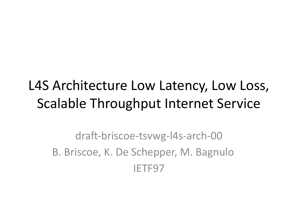#### L4S Architecture Low Latency, Low Loss, Scalable Throughput Internet Service

draft-briscoe-tsvwg-l4s-arch-00 B. Briscoe, K. De Schepper, M. Bagnulo IETF97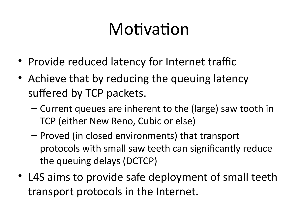# Motivation

- Provide reduced latency for Internet traffic
- Achieve that by reducing the queuing latency suffered by TCP packets.
	- Current queues are inherent to the (large) saw tooth in TCP (either New Reno, Cubic or else)
	- Proved (in closed environments) that transport protocols with small saw teeth can significantly reduce the queuing delays (DCTCP)
- L4S aims to provide safe deployment of small teeth transport protocols in the Internet.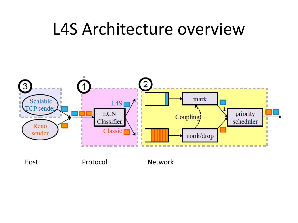### L4S Architecture overview



Host Protocol Network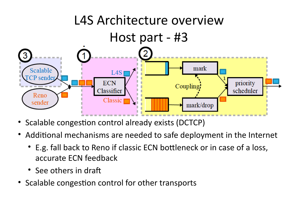

- Scalable congestion control already exists (DCTCP)
- Additional mechanisms are needed to safe deployment in the Internet
	- E.g. fall back to Reno if classic ECN bottleneck or in case of a loss, accurate ECN feedback
	- See others in draft
- Scalable congestion control for other transports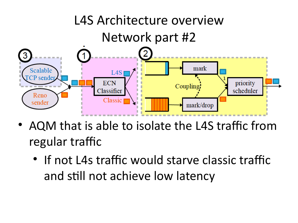

- AQM that is able to isolate the L4S traffic from regular traffic
	- If not L4s traffic would starve classic traffic and still not achieve low latency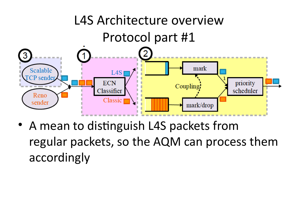

• A mean to distinguish L4S packets from regular packets, so the AQM can process them accordingly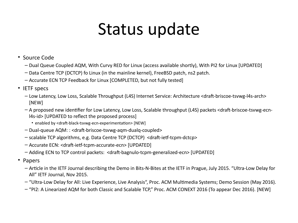# Status update

- Source Code
	- Dual Queue Coupled AQM, With Curvy RED for Linux (access available shortly), With PI2 for Linux [UPDATED]
	- Data Centre TCP (DCTCP) fo Linux (in the mainline kernel), FreeBSD patch, ns2 patch.
	- Accurate ECN TCP Feedback for Linux [COMPLETED, but not fully tested]
- IETF specs
	- Low Latency, Low Loss, Scalable Throughput (L4S) Internet Service: Architecture <draft-briscoe-tsvwg-l4s-arch> [NEW]
	- A proposed new identifier for Low Latency, Low Loss, Scalable throughput (L4S) packets <draft-briscoe-tsvwg-ecnl4s-id> [UPDATED to reflect the proposed process]
		- enabled by <draft-black-tsvwg-ecn-experimentation> [NEW]
	- Dual-queue AQM: : <draft-briscoe-tsvwg-aqm-dualq-coupled>
	- scalable TCP algorithms, e.g. Data Centre TCP (DCTCP) <draft-ietf-tcpm-dctcp>
	- Accurate ECN: <draft-ietf-tcpm-accurate-ecn> [UPDATED]
	- Adding ECN to TCP control packets: <draft-bagnulo-tcpm-generalized-ecn> [UPDATED]
- Papers
	- Article in the IETF Journal describing the Demo in Bits-N-Bites at the IETF in Prague, July 2015. "Ultra-Low Delay for All" IETF Journal, Nov 2015.
	- "Ultra-Low Delay for All: Live Experience, Live Analysis", Proc. ACM Multimedia Systems; Demo Session (May 2016).
	- "PI2: A Linearized AQM for both Classic and Scalable TCP," Proc. ACM CONEXT 2016 (To appear Dec 2016). [NEW]